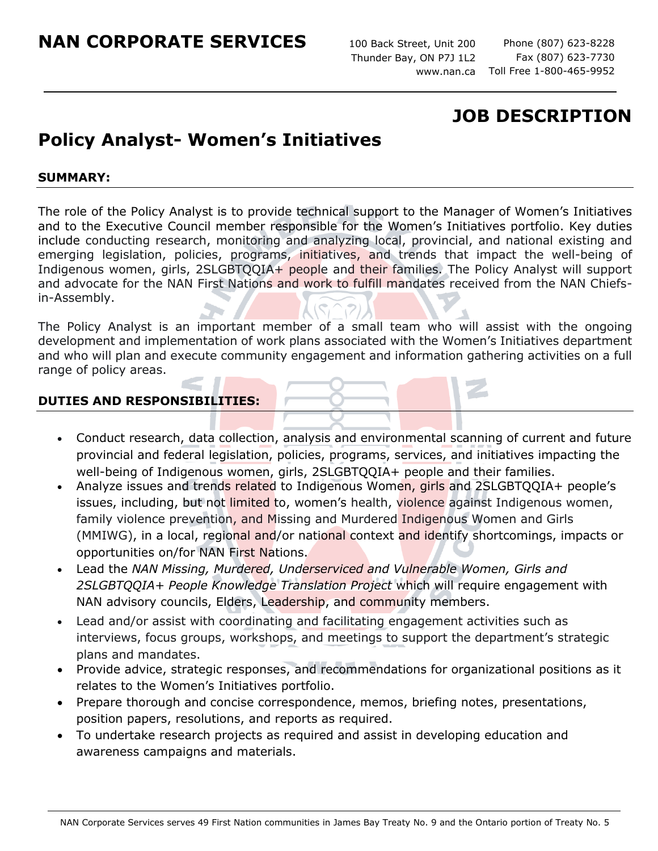100 Back Street, Unit 200 Thunder Bay, ON P7J 1L2

Phone (807) 623-8228 Fax (807) 623-7730 www.nan.ca Toll Free 1-800-465-9952

# **JOB DESCRIPTION**

# **Policy Analyst- Women's Initiatives**

### **SUMMARY:**

The role of the Policy Analyst is to provide technical support to the Manager of Women's Initiatives and to the Executive Council member responsible for the Women's Initiatives portfolio. Key duties include conducting research, monitoring and analyzing local, provincial, and national existing and emerging legislation, policies, programs, initiatives, and trends that impact the well-being of Indigenous women, girls, 2SLGBTQQIA+ people and their families. The Policy Analyst will support and advocate for the NAN First Nations and work to fulfill mandates received from the NAN Chiefsin-Assembly.

The Policy Analyst is an important member of a small team who will assist with the ongoing development and implementation of work plans associated with the Women's Initiatives department and who will plan and execute community engagement and information gathering activities on a full range of policy areas.

### **DUTIES AND RESPONSIBILITIES:**

- Conduct research, data collection, analysis and environmental scanning of current and future provincial and federal legislation, policies, programs, services, and initiatives impacting the well-being of Indigenous women, girls, 2SLGBTQQIA+ people and their families.
- Analyze issues and trends related to Indigenous Women, girls and 2SLGBTQQIA+ people's issues, including, but not limited to, women's health, violence against Indigenous women, family violence prevention, and Missing and Murdered Indigenous Women and Girls (MMIWG), in a local, regional and/or national context and identify shortcomings, impacts or opportunities on/for NAN First Nations.
- Lead the *NAN Missing, Murdered, Underserviced and Vulnerable Women, Girls and 2SLGBTQQIA+ People Knowledge Translation Project* which will require engagement with NAN advisory councils, Elders, Leadership, and community members.
- Lead and/or assist with coordinating and facilitating engagement activities such as interviews, focus groups, workshops, and meetings to support the department's strategic plans and mandates.
- Provide advice, strategic responses, and recommendations for organizational positions as it relates to the Women's Initiatives portfolio.
- Prepare thorough and concise correspondence, memos, briefing notes, presentations, position papers, resolutions, and reports as required.
- To undertake research projects as required and assist in developing education and awareness campaigns and materials.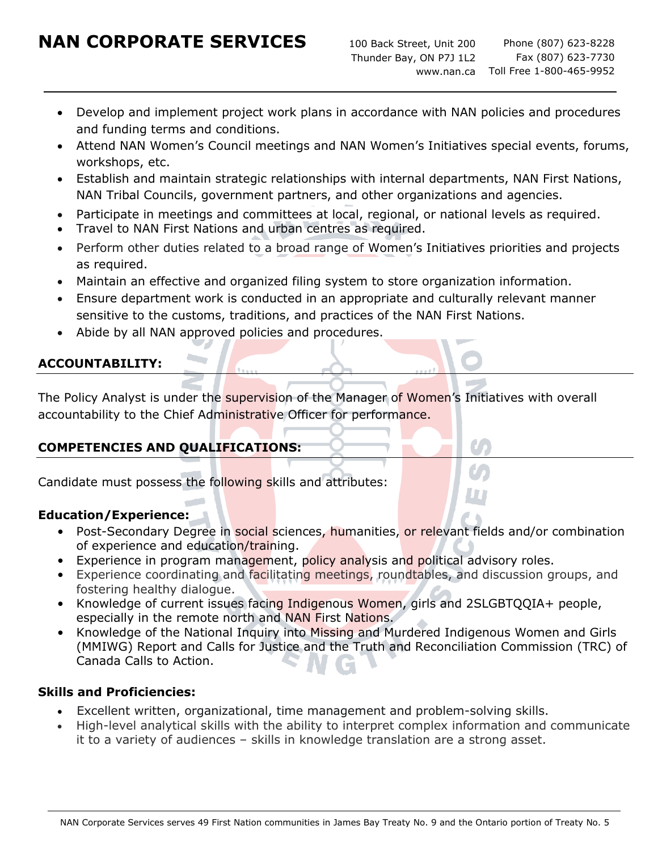# **NAN CORPORATE SERVICES**

- Develop and implement project work plans in accordance with NAN policies and procedures and funding terms and conditions.
- Attend NAN Women's Council meetings and NAN Women's Initiatives special events, forums, workshops, etc.
- Establish and maintain strategic relationships with internal departments, NAN First Nations, NAN Tribal Councils, government partners, and other organizations and agencies.
- Participate in meetings and committees at local, regional, or national levels as required.
- Travel to NAN First Nations and urban centres as required.
- Perform other duties related to a broad range of Women's Initiatives priorities and projects as required.
- Maintain an effective and organized filing system to store organization information.
- Ensure department work is conducted in an appropriate and culturally relevant manner sensitive to the customs, traditions, and practices of the NAN First Nations.
- Abide by all NAN approved policies and procedures.

## **ACCOUNTABILITY:**

The Policy Analyst is under the supervision of the Manager of Women's Initiatives with overall accountability to the Chief Administrative Officer for performance.

## **COMPETENCIES AND QUALIFICATIONS:**

Candidate must possess the following skills and attributes:

### **Education/Experience:**

- Post-Secondary Degree in social sciences, humanities, or relevant fields and/or combination of experience and education/training.
- Experience in program management, policy analysis and political advisory roles.
- Experience coordinating and facilitating meetings, roundtables, and discussion groups, and fostering healthy dialogue.
- Knowledge of current issues facing Indigenous Women, girls and 2SLGBTQQIA+ people, especially in the remote north and NAN First Nations.
- Knowledge of the National Inquiry into Missing and Murdered Indigenous Women and Girls (MMIWG) Report and Calls for Justice and the Truth and Reconciliation Commission (TRC) of Canada Calls to Action.

### **Skills and Proficiencies:**

- Excellent written, organizational, time management and problem-solving skills.
- High-level analytical skills with the ability to interpret complex information and communicate it to a variety of audiences – skills in knowledge translation are a strong asset.